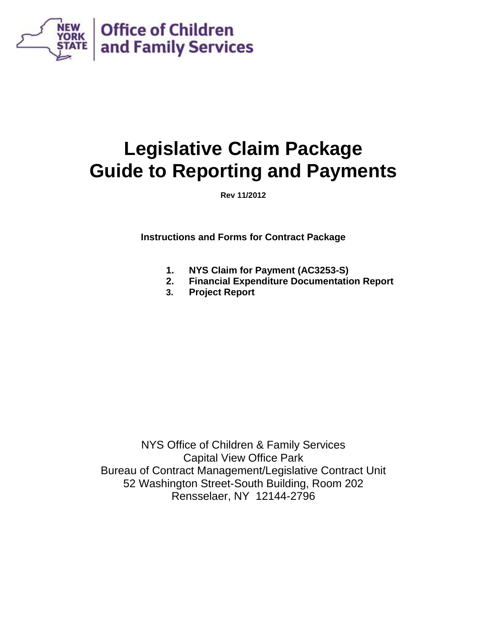

# **Legislative Claim Package Guide to Reporting and Payments**

**Rev 11/2012** 

**Instructions and Forms for Contract Package** 

- **1. NYS Claim for Payment (AC3253-S)**
- **2. Financial Expenditure Documentation Report**
- **3. Project Report**

NYS Office of Children & Family Services Capital View Office Park Bureau of Contract Management/Legislative Contract Unit 52 Washington Street-South Building, Room 202 Rensselaer, NY 12144-2796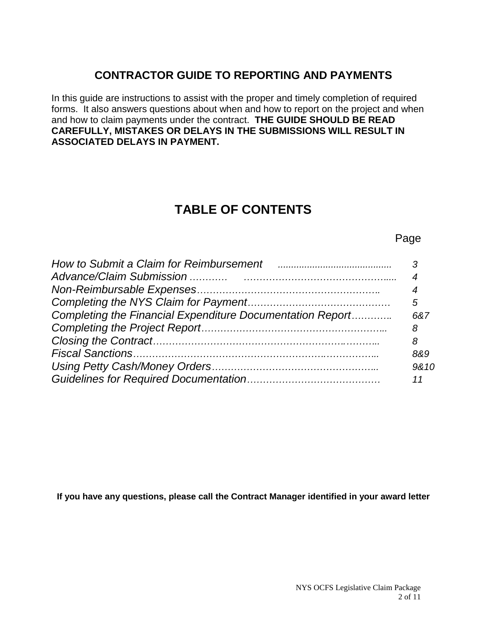### **CONTRACTOR GUIDE TO REPORTING AND PAYMENTS**

In this guide are instructions to assist with the proper and timely completion of required forms. It also answers questions about when and how to report on the project and when and how to claim payments under the contract. **THE GUIDE SHOULD BE READ CAREFULLY, MISTAKES OR DELAYS IN THE SUBMISSIONS WILL RESULT IN ASSOCIATED DELAYS IN PAYMENT.**

### **TABLE OF CONTENTS**

Page

| How to Submit a Claim for Reimbursement Fall Communications and How to Submit a Claim for Reimbursement |      |
|---------------------------------------------------------------------------------------------------------|------|
|                                                                                                         |      |
|                                                                                                         |      |
|                                                                                                         | 5    |
| Completing the Financial Expenditure Documentation Report                                               | 68.7 |
|                                                                                                         | 8    |
|                                                                                                         | 8    |
|                                                                                                         | 8&9  |
|                                                                                                         | 9&10 |
|                                                                                                         |      |

**If you have any questions, please call the Contract Manager identified in your award letter**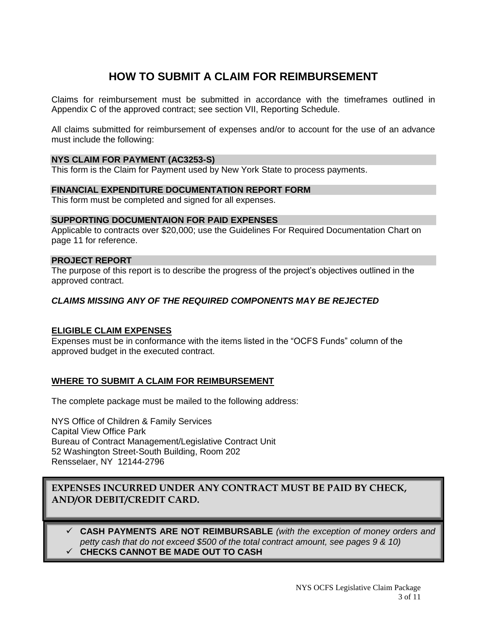### **HOW TO SUBMIT A CLAIM FOR REIMBURSEMENT**

Claims for reimbursement must be submitted in accordance with the timeframes outlined in Appendix C of the approved contract; see section VII, Reporting Schedule.

All claims submitted for reimbursement of expenses and/or to account for the use of an advance must include the following:

#### **NYS CLAIM FOR PAYMENT (AC3253-S)**

This form is the Claim for Payment used by New York State to process payments.

#### **FINANCIAL EXPENDITURE DOCUMENTATION REPORT FORM**

This form must be completed and signed for all expenses.

#### **SUPPORTING DOCUMENTAION FOR PAID EXPENSES**

Applicable to contracts over \$20,000; use the Guidelines For Required Documentation Chart on page 11 for reference.

#### **PROJECT REPORT**

The purpose of this report is to describe the progress of the project's objectives outlined in the approved contract.

#### *CLAIMS MISSING ANY OF THE REQUIRED COMPONENTS MAY BE REJECTED*

#### **ELIGIBLE CLAIM EXPENSES**

Expenses must be in conformance with the items listed in the "OCFS Funds" column of the approved budget in the executed contract.

#### **WHERE TO SUBMIT A CLAIM FOR REIMBURSEMENT**

The complete package must be mailed to the following address:

NYS Office of Children & Family Services Capital View Office Park Bureau of Contract Management/Legislative Contract Unit 52 Washington Street-South Building, Room 202 Rensselaer, NY 12144-2796

#### **EXPENSES INCURRED UNDER ANY CONTRACT MUST BE PAID BY CHECK, AND/OR DEBIT/CREDIT CARD.**

 **CASH PAYMENTS ARE NOT REIMBURSABLE** *(with the exception of money orders and petty cash that do not exceed \$500 of the total contract amount, see pages 9 & 10)* **CHECKS CANNOT BE MADE OUT TO CASH** 

> NYS OCFS Legislative Claim Package 3 of 11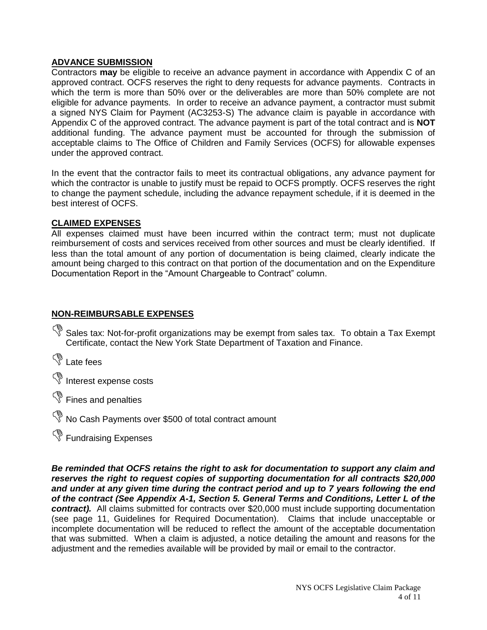#### **ADVANCE SUBMISSION**

Contractors **may** be eligible to receive an advance payment in accordance with Appendix C of an approved contract. OCFS reserves the right to deny requests for advance payments. Contracts in which the term is more than 50% over or the deliverables are more than 50% complete are not eligible for advance payments. In order to receive an advance payment, a contractor must submit a signed NYS Claim for Payment (AC3253-S) The advance claim is payable in accordance with Appendix C of the approved contract. The advance payment is part of the total contract and is **NOT** additional funding. The advance payment must be accounted for through the submission of acceptable claims to The Office of Children and Family Services (OCFS) for allowable expenses under the approved contract.

In the event that the contractor fails to meet its contractual obligations, any advance payment for which the contractor is unable to justify must be repaid to OCFS promptly. OCFS reserves the right to change the payment schedule, including the advance repayment schedule, if it is deemed in the best interest of OCFS.

#### **CLAIMED EXPENSES**

All expenses claimed must have been incurred within the contract term; must not duplicate reimbursement of costs and services received from other sources and must be clearly identified. If less than the total amount of any portion of documentation is being claimed, clearly indicate the amount being charged to this contract on that portion of the documentation and on the Expenditure Documentation Report in the "Amount Chargeable to Contract" column.

#### **NON-REIMBURSABLE EXPENSES**

Sales tax: Not-for-profit organizations may be exempt from sales tax. To obtain a Tax Exempt Certificate, contact the New York State Department of Taxation and Finance.

<sup>S</sup> Late fees

<sup>5</sup> Interest expense costs

<sup>S</sup> Fines and penalties

No Cash Payments over \$500 of total contract amount

<sup>S</sup> Fundraising Expenses

*Be reminded that OCFS retains the right to ask for documentation to support any claim and reserves the right to request copies of supporting documentation for all contracts \$20,000 and under at any given time during the contract period and up to 7 years following the end of the contract (See Appendix A-1, Section 5. General Terms and Conditions, Letter L of the contract).* All claims submitted for contracts over \$20,000 must include supporting documentation (see page 11, Guidelines for Required Documentation). Claims that include unacceptable or incomplete documentation will be reduced to reflect the amount of the acceptable documentation that was submitted. When a claim is adjusted, a notice detailing the amount and reasons for the adjustment and the remedies available will be provided by mail or email to the contractor.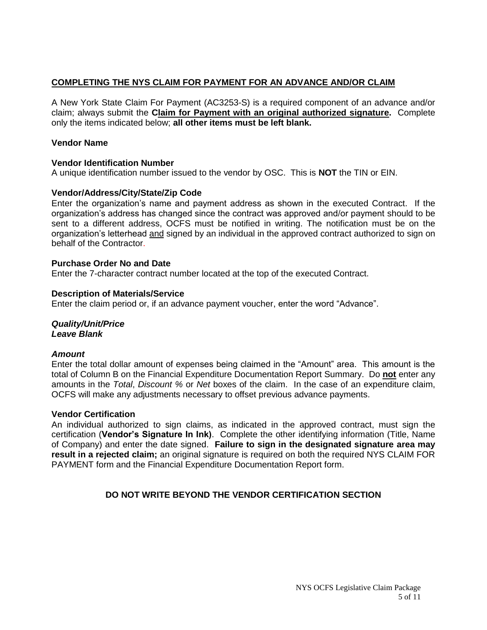#### **COMPLETING THE NYS CLAIM FOR PAYMENT FOR AN ADVANCE AND/OR CLAIM**

A New York State Claim For Payment (AC3253-S) is a required component of an advance and/or claim; always submit the **Claim for Payment with an original authorized signature.** Complete only the items indicated below; **all other items must be left blank.**

#### **Vendor Name**

#### **Vendor Identification Number**

A unique identification number issued to the vendor by OSC. This is **NOT** the TIN or EIN.

#### **Vendor/Address/City/State/Zip Code**

Enter the organization's name and payment address as shown in the executed Contract. If the organization's address has changed since the contract was approved and/or payment should to be sent to a different address, OCFS must be notified in writing. The notification must be on the organization's letterhead and signed by an individual in the approved contract authorized to sign on behalf of the Contractor.

#### **Purchase Order No and Date**

Enter the 7-character contract number located at the top of the executed Contract.

#### **Description of Materials/Service**

Enter the claim period or, if an advance payment voucher, enter the word "Advance".

## *Quality/Unit/Price*

### *Leave Blank*

#### *Amount*

Enter the total dollar amount of expenses being claimed in the "Amount" area. This amount is the total of Column B on the Financial Expenditure Documentation Report Summary. Do **not** enter any amounts in the *Total*, *Discount %* or *Net* boxes of the claim. In the case of an expenditure claim, OCFS will make any adjustments necessary to offset previous advance payments.

#### **Vendor Certification**

An individual authorized to sign claims, as indicated in the approved contract, must sign the certification (**Vendor's Signature In Ink)**. Complete the other identifying information (Title, Name of Company) and enter the date signed. **Failure to sign in the designated signature area may result in a rejected claim;** an original signature is required on both the required NYS CLAIM FOR PAYMENT form and the Financial Expenditure Documentation Report form.

#### **DO NOT WRITE BEYOND THE VENDOR CERTIFICATION SECTION**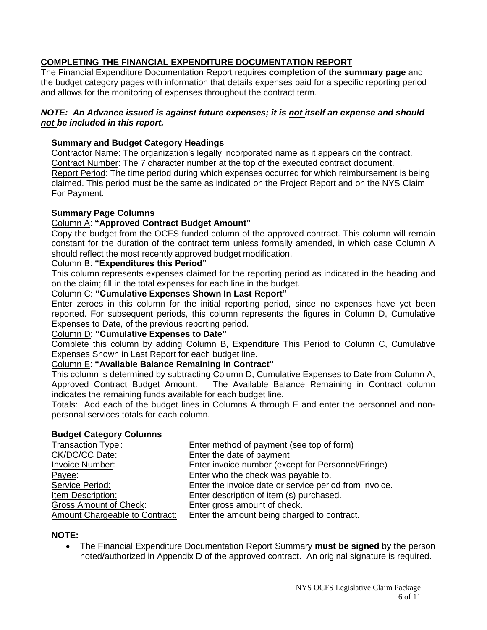#### **COMPLETING THE FINANCIAL EXPENDITURE DOCUMENTATION REPORT**

The Financial Expenditure Documentation Report requires **completion of the summary page** and the budget category pages with information that details expenses paid for a specific reporting period and allows for the monitoring of expenses throughout the contract term.

#### *NOTE: An Advance issued is against future expenses; it is not itself an expense and should not be included in this report.*

#### **Summary and Budget Category Headings**

Contractor Name: The organization's legally incorporated name as it appears on the contract. Contract Number: The 7 character number at the top of the executed contract document. Report Period: The time period during which expenses occurred for which reimbursement is being claimed. This period must be the same as indicated on the Project Report and on the NYS Claim For Payment.

#### **Summary Page Columns**

#### Column A: **"Approved Contract Budget Amount"**

Copy the budget from the OCFS funded column of the approved contract. This column will remain constant for the duration of the contract term unless formally amended, in which case Column A should reflect the most recently approved budget modification.

#### Column B: **"Expenditures this Period"**

This column represents expenses claimed for the reporting period as indicated in the heading and on the claim; fill in the total expenses for each line in the budget.

Column C: **"Cumulative Expenses Shown In Last Report"**

Enter zeroes in this column for the initial reporting period, since no expenses have yet been reported. For subsequent periods, this column represents the figures in Column D, Cumulative Expenses to Date, of the previous reporting period.

#### Column D: **"Cumulative Expenses to Date"**

Complete this column by adding Column B, Expenditure This Period to Column C, Cumulative Expenses Shown in Last Report for each budget line.

#### Column E: **"Available Balance Remaining in Contract"**

This column is determined by subtracting Column D, Cumulative Expenses to Date from Column A, Approved Contract Budget Amount. The Available Balance Remaining in Contract column indicates the remaining funds available for each budget line.

Totals:Add each of the budget lines in Columns A through E and enter the personnel and nonpersonal services totals for each column.

#### **Budget Category Columns**

| Enter invoice number (except for Personnel/Fringe)     |
|--------------------------------------------------------|
|                                                        |
| Enter the invoice date or service period from invoice. |
|                                                        |
|                                                        |
|                                                        |
|                                                        |

#### **NOTE:**

 The Financial Expenditure Documentation Report Summary **must be signed** by the person noted/authorized in Appendix D of the approved contract. An original signature is required.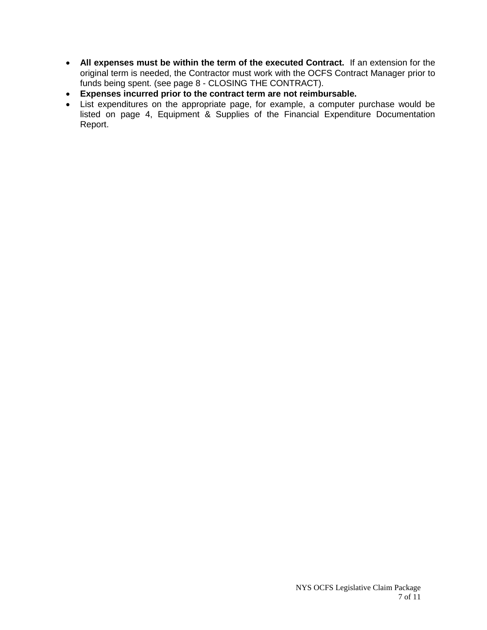- **All expenses must be within the term of the executed Contract.** If an extension for the original term is needed, the Contractor must work with the OCFS Contract Manager prior to funds being spent. (see page 8 - CLOSING THE CONTRACT).
- **Expenses incurred prior to the contract term are not reimbursable.**
- List expenditures on the appropriate page, for example, a computer purchase would be listed on page 4, Equipment & Supplies of the Financial Expenditure Documentation Report.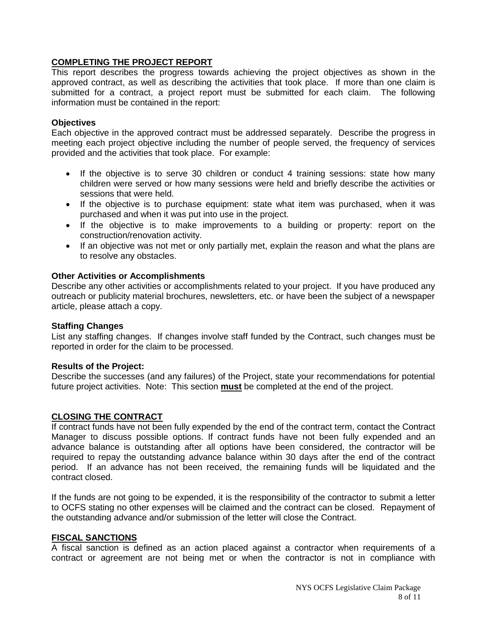#### **COMPLETING THE PROJECT REPORT**

This report describes the progress towards achieving the project objectives as shown in the approved contract, as well as describing the activities that took place. If more than one claim is submitted for a contract, a project report must be submitted for each claim. The following information must be contained in the report:

#### **Objectives**

Each objective in the approved contract must be addressed separately. Describe the progress in meeting each project objective including the number of people served, the frequency of services provided and the activities that took place. For example:

- If the objective is to serve 30 children or conduct 4 training sessions: state how many children were served or how many sessions were held and briefly describe the activities or sessions that were held.
- If the objective is to purchase equipment: state what item was purchased, when it was purchased and when it was put into use in the project.
- If the objective is to make improvements to a building or property: report on the construction/renovation activity.
- If an objective was not met or only partially met, explain the reason and what the plans are to resolve any obstacles.

#### **Other Activities or Accomplishments**

Describe any other activities or accomplishments related to your project. If you have produced any outreach or publicity material brochures, newsletters, etc. or have been the subject of a newspaper article, please attach a copy.

#### **Staffing Changes**

List any staffing changes. If changes involve staff funded by the Contract, such changes must be reported in order for the claim to be processed.

#### **Results of the Project:**

Describe the successes (and any failures) of the Project, state your recommendations for potential future project activities. Note: This section **must** be completed at the end of the project.

#### **CLOSING THE CONTRACT**

If contract funds have not been fully expended by the end of the contract term, contact the Contract Manager to discuss possible options. If contract funds have not been fully expended and an advance balance is outstanding after all options have been considered, the contractor will be required to repay the outstanding advance balance within 30 days after the end of the contract period. If an advance has not been received, the remaining funds will be liquidated and the contract closed.

If the funds are not going to be expended, it is the responsibility of the contractor to submit a letter to OCFS stating no other expenses will be claimed and the contract can be closed. Repayment of the outstanding advance and/or submission of the letter will close the Contract.

#### **FISCAL SANCTIONS**

A fiscal sanction is defined as an action placed against a contractor when requirements of a contract or agreement are not being met or when the contractor is not in compliance with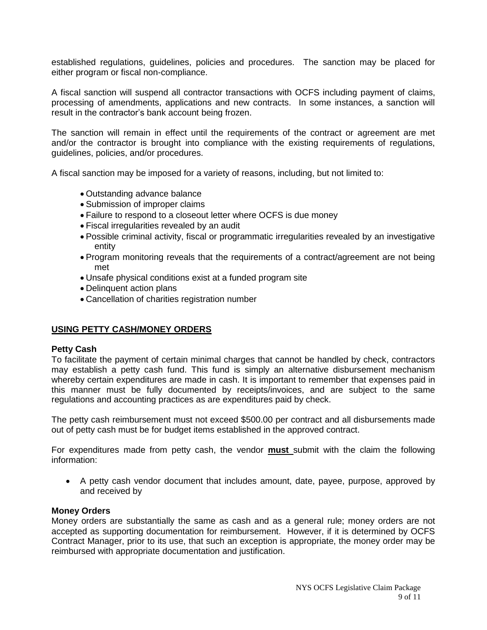established regulations, guidelines, policies and procedures. The sanction may be placed for either program or fiscal non-compliance.

A fiscal sanction will suspend all contractor transactions with OCFS including payment of claims, processing of amendments, applications and new contracts. In some instances, a sanction will result in the contractor's bank account being frozen.

The sanction will remain in effect until the requirements of the contract or agreement are met and/or the contractor is brought into compliance with the existing requirements of regulations, guidelines, policies, and/or procedures.

A fiscal sanction may be imposed for a variety of reasons, including, but not limited to:

- Outstanding advance balance
- Submission of improper claims
- Failure to respond to a closeout letter where OCFS is due money
- Fiscal irregularities revealed by an audit
- Possible criminal activity, fiscal or programmatic irregularities revealed by an investigative entity
- Program monitoring reveals that the requirements of a contract/agreement are not being met
- Unsafe physical conditions exist at a funded program site
- Delinquent action plans
- Cancellation of charities registration number

#### **USING PETTY CASH/MONEY ORDERS**

#### **Petty Cash**

To facilitate the payment of certain minimal charges that cannot be handled by check, contractors may establish a petty cash fund. This fund is simply an alternative disbursement mechanism whereby certain expenditures are made in cash. It is important to remember that expenses paid in this manner must be fully documented by receipts/invoices, and are subject to the same regulations and accounting practices as are expenditures paid by check.

The petty cash reimbursement must not exceed \$500.00 per contract and all disbursements made out of petty cash must be for budget items established in the approved contract.

For expenditures made from petty cash, the vendor **must** submit with the claim the following information:

 A petty cash vendor document that includes amount, date, payee, purpose, approved by and received by

#### **Money Orders**

Money orders are substantially the same as cash and as a general rule; money orders are not accepted as supporting documentation for reimbursement. However, if it is determined by OCFS Contract Manager, prior to its use, that such an exception is appropriate, the money order may be reimbursed with appropriate documentation and justification.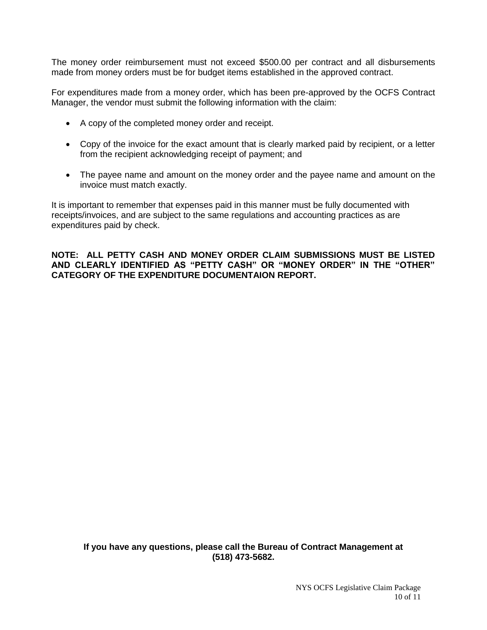The money order reimbursement must not exceed \$500.00 per contract and all disbursements made from money orders must be for budget items established in the approved contract.

For expenditures made from a money order, which has been pre-approved by the OCFS Contract Manager, the vendor must submit the following information with the claim:

- A copy of the completed money order and receipt.
- Copy of the invoice for the exact amount that is clearly marked paid by recipient, or a letter from the recipient acknowledging receipt of payment; and
- The payee name and amount on the money order and the payee name and amount on the invoice must match exactly.

It is important to remember that expenses paid in this manner must be fully documented with receipts/invoices, and are subject to the same regulations and accounting practices as are expenditures paid by check.

**NOTE: ALL PETTY CASH AND MONEY ORDER CLAIM SUBMISSIONS MUST BE LISTED AND CLEARLY IDENTIFIED AS "PETTY CASH" OR "MONEY ORDER" IN THE "OTHER" CATEGORY OF THE EXPENDITURE DOCUMENTAION REPORT.**

**If you have any questions, please call the Bureau of Contract Management at (518) 473-5682.**